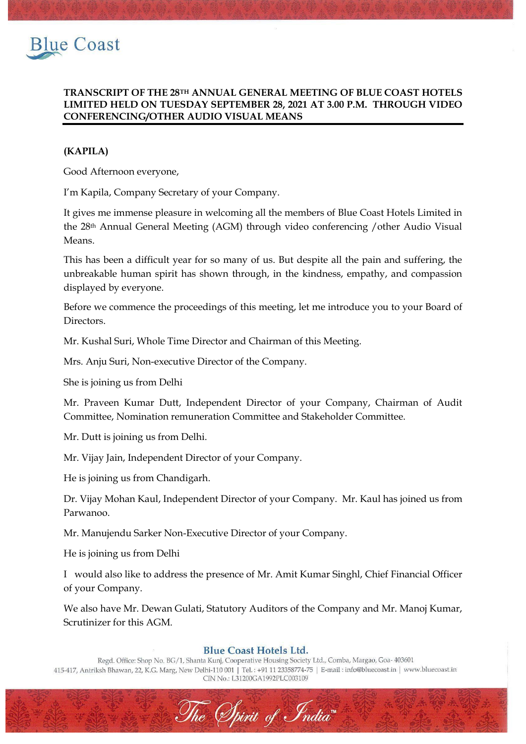

## **TRANSCRIPT OF THE 28TH ANNUAL GENERAL MEETING OF BLUE COAST HOTELS LIMITED HELD ON TUESDAY SEPTEMBER 28, 2021 AT 3.00 P.M. THROUGH VIDEO CONFERENCING/OTHER AUDIO VISUAL MEANS**

# **(KAPILA)**

Good Afternoon everyone,

I'm Kapila, Company Secretary of your Company.

It gives me immense pleasure in welcoming all the members of Blue Coast Hotels Limited in the 28th Annual General Meeting (AGM) through video conferencing /other Audio Visual Means.

This has been a difficult year for so many of us. But despite all the pain and suffering, the unbreakable human spirit has shown through, in the kindness, empathy, and compassion displayed by everyone.

Before we commence the proceedings of this meeting, let me introduce you to your Board of Directors.

Mr. Kushal Suri, Whole Time Director and Chairman of this Meeting.

Mrs. Anju Suri, Non-executive Director of the Company.

She is joining us from Delhi

Mr. Praveen Kumar Dutt, Independent Director of your Company, Chairman of Audit Committee, Nomination remuneration Committee and Stakeholder Committee.

Mr. Dutt is joining us from Delhi.

Mr. Vijay Jain, Independent Director of your Company.

He is joining us from Chandigarh.

Dr. Vijay Mohan Kaul, Independent Director of your Company. Mr. Kaul has joined us from Parwanoo.

Mr. Manujendu Sarker Non-Executive Director of your Company.

He is joining us from Delhi

I would also like to address the presence of Mr. Amit Kumar Singhl, Chief Financial Officer of your Company.

We also have Mr. Dewan Gulati, Statutory Auditors of the Company and Mr. Manoj Kumar, Scrutinizer for this AGM.

## **Blue Coast Hotels Ltd.**

Regd. Office: Shop No. BG/1, Shanta Kunj, Cooperative Housing Society Ltd., Comba, Margao, Goa- 403601 415-417, Antriksh Bhawan, 22, K.G. Marg, New Delhi-110 001 | Tel.: +91 11 23358774-75 | E-mail: info@bluecoast.in | www.bluecoast.in CIN No.: L31200GA1992PLC003109

The Spirit of India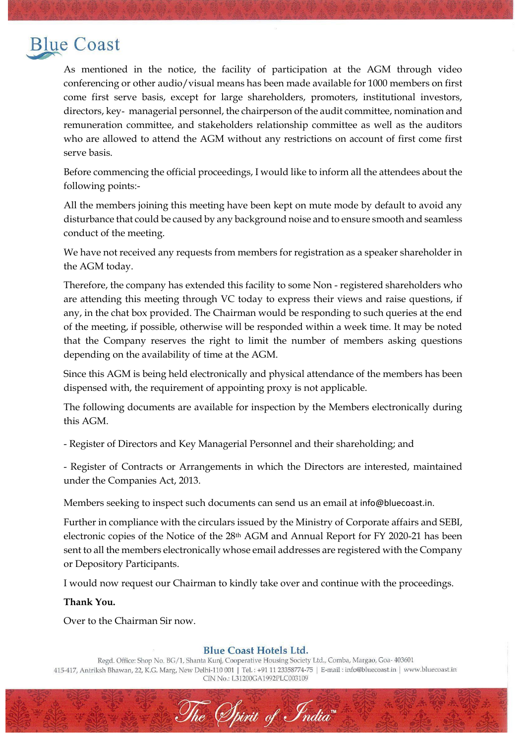# **Blue Coast**

As mentioned in the notice, the facility of participation at the AGM through video conferencing or other audio/visual means has been made available for 1000 members on first come first serve basis, except for large shareholders, promoters, institutional investors, directors, key‐ managerial personnel, the chairperson of the audit committee, nomination and remuneration committee, and stakeholders relationship committee as well as the auditors who are allowed to attend the AGM without any restrictions on account of first come first serve basis.

Before commencing the official proceedings, I would like to inform all the attendees about the following points:-

All the members joining this meeting have been kept on mute mode by default to avoid any disturbance that could be caused by any background noise and to ensure smooth and seamless conduct of the meeting.

We have not received any requests from members for registration as a speaker shareholder in the AGM today.

Therefore, the company has extended this facility to some Non - registered shareholders who are attending this meeting through VC today to express their views and raise questions, if any, in the chat box provided. The Chairman would be responding to such queries at the end of the meeting, if possible, otherwise will be responded within a week time. It may be noted that the Company reserves the right to limit the number of members asking questions depending on the availability of time at the AGM.

Since this AGM is being held electronically and physical attendance of the members has been dispensed with, the requirement of appointing proxy is not applicable.

The following documents are available for inspection by the Members electronically during this AGM.

- Register of Directors and Key Managerial Personnel and their shareholding; and

- Register of Contracts or Arrangements in which the Directors are interested, maintained under the Companies Act, 2013.

Members seeking to inspect such documents can send us an email at [info@bluecoast.in](mailto:info@bluecoast.in).

Further in compliance with the circulars issued by the Ministry of Corporate affairs and SEBI, electronic copies of the Notice of the 28th AGM and Annual Report for FY 2020-21 has been sent to all the members electronically whose email addresses are registered with the Company or Depository Participants.

I would now request our Chairman to kindly take over and continue with the proceedings.

### **Thank You.**

Over to the Chairman Sir now.

## **Blue Coast Hotels Ltd.**

Regd. Office: Shop No. BG/1, Shanta Kunj, Cooperative Housing Society Ltd., Comba, Margao, Goa- 403601 415-417, Antriksh Bhawan, 22, K.G. Marg, New Delhi-110 001 | Tel.: +91 11 23358774-75 | E-mail: info@bluecoast.in | www.bluecoast.in CIN No.: L31200GA1992PLC003109

The Spirit of India"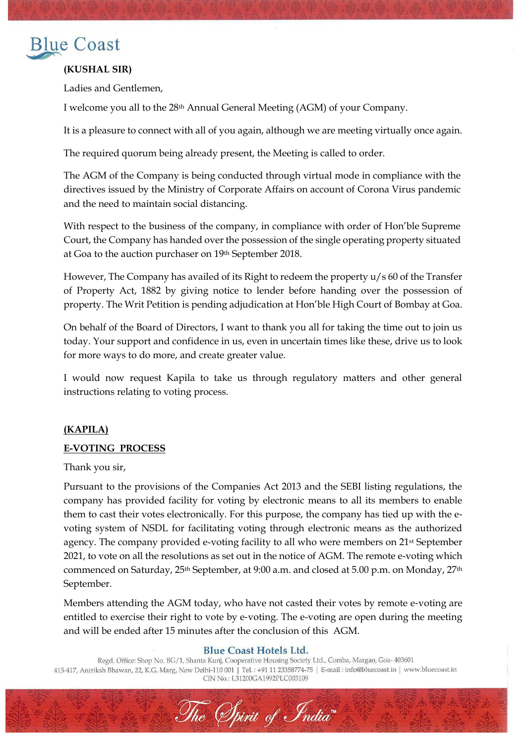

# **(KUSHAL SIR)**

Ladies and Gentlemen,

I welcome you all to the 28th Annual General Meeting (AGM) of your Company.

It is a pleasure to connect with all of you again, although we are meeting virtually once again.

The required quorum being already present, the Meeting is called to order.

The AGM of the Company is being conducted through virtual mode in compliance with the directives issued by the Ministry of Corporate Affairs on account of Corona Virus pandemic and the need to maintain social distancing.

With respect to the business of the company, in compliance with order of Hon'ble Supreme Court, the Company has handed over the possession of the single operating property situated at Goa to the auction purchaser on 19th September 2018.

However, The Company has availed of its Right to redeem the property u/s 60 of the Transfer of Property Act, 1882 by giving notice to lender before handing over the possession of property. The Writ Petition is pending adjudication at Hon'ble High Court of Bombay at Goa.

On behalf of the Board of Directors, I want to thank you all for taking the time out to join us today. Your support and confidence in us, even in uncertain times like these, drive us to look for more ways to do more, and create greater value.

I would now request Kapila to take us through regulatory matters and other general instructions relating to voting process.

# **(KAPILA)**

# **E-VOTING PROCESS**

Thank you sir,

Pursuant to the provisions of the Companies Act 2013 and the SEBI listing regulations, the company has provided facility for voting by electronic means to all its members to enable them to cast their votes electronically. For this purpose, the company has tied up with the evoting system of NSDL for facilitating voting through electronic means as the authorized agency. The company provided e-voting facility to all who were members on 21st September 2021, to vote on all the resolutions as set out in the notice of AGM. The remote e-voting which commenced on Saturday, 25th September, at 9:00 a.m. and closed at 5.00 p.m. on Monday, 27th September.

Members attending the AGM today, who have not casted their votes by remote e-voting are entitled to exercise their right to vote by e-voting. The e-voting are open during the meeting and will be ended after 15 minutes after the conclusion of this AGM.

## **Blue Coast Hotels Ltd.**

Regd. Office: Shop No. BG/1, Shanta Kunj, Cooperative Housing Society Ltd., Comba, Margao, Goa- 403601 415-417, Antriksh Bhawan, 22, K.G. Marg, New Delhi-110 001 | Tel.: +91 11 23358774-75 | E-mail: info@bluecoast.in | www.bluecoast.in CIN No.: L31200GA1992PLC003109

The Spirit of India"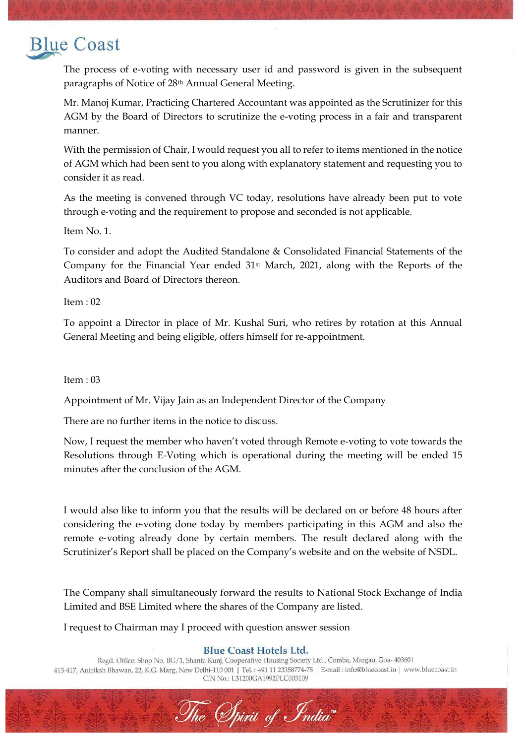# **Blue Coast**

The process of e-voting with necessary user id and password is given in the subsequent paragraphs of Notice of 28th Annual General Meeting.

Mr. Manoj Kumar, Practicing Chartered Accountant was appointed as the Scrutinizer for this AGM by the Board of Directors to scrutinize the e-voting process in a fair and transparent manner.

With the permission of Chair, I would request you all to refer to items mentioned in the notice of AGM which had been sent to you along with explanatory statement and requesting you to consider it as read.

As the meeting is convened through VC today, resolutions have already been put to vote through e‐voting and the requirement to propose and seconded is not applicable.

Item No. 1.

To consider and adopt the Audited Standalone & Consolidated Financial Statements of the Company for the Financial Year ended 31st March, 2021, along with the Reports of the Auditors and Board of Directors thereon.

Item : 02

To appoint a Director in place of Mr. Kushal Suri, who retires by rotation at this Annual General Meeting and being eligible, offers himself for re-appointment.

## Item : 03

Appointment of Mr. Vijay Jain as an Independent Director of the Company

There are no further items in the notice to discuss.

Now, I request the member who haven't voted through Remote e-voting to vote towards the Resolutions through E-Voting which is operational during the meeting will be ended 15 minutes after the conclusion of the AGM.

I would also like to inform you that the results will be declared on or before 48 hours after considering the e‐voting done today by members participating in this AGM and also the remote e‐voting already done by certain members. The result declared along with the Scrutinizer's Report shall be placed on the Company's website and on the website of NSDL.

The Company shall simultaneously forward the results to National Stock Exchange of India Limited and BSE Limited where the shares of the Company are listed.

I request to Chairman may I proceed with question answer session

## **Blue Coast Hotels Ltd.**

Regd. Office: Shop No. BG/1, Shanta Kunj, Cooperative Housing Society Ltd., Comba, Margao, Goa- 403601 415-417, Antriksh Bhawan, 22, K.G. Marg, New Delhi-110 001 | Tel.: +91 11 23358774-75 | E-mail: info@bluecoast.in | www.bluecoast.in CIN No.: L31200GA1992PLC003109

The Spirit of India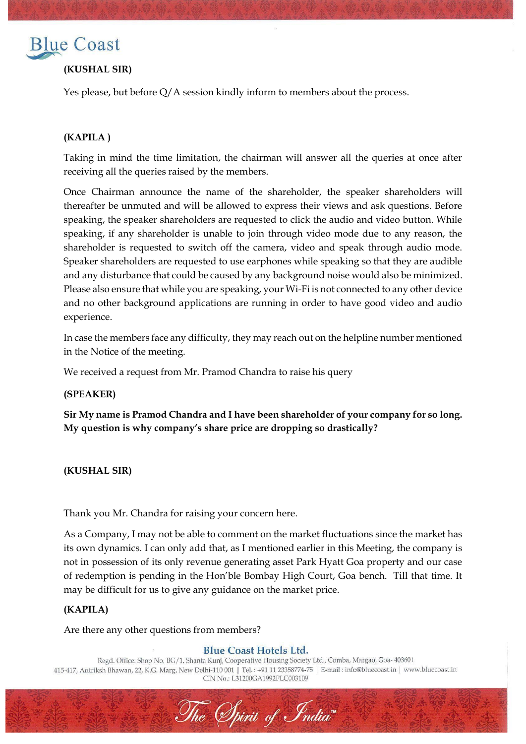

## **(KUSHAL SIR)**

Yes please, but before Q/A session kindly inform to members about the process.

## **(KAPILA )**

Taking in mind the time limitation, the chairman will answer all the queries at once after receiving all the queries raised by the members.

Once Chairman announce the name of the shareholder, the speaker shareholders will thereafter be unmuted and will be allowed to express their views and ask questions. Before speaking, the speaker shareholders are requested to click the audio and video button. While speaking, if any shareholder is unable to join through video mode due to any reason, the shareholder is requested to switch off the camera, video and speak through audio mode. Speaker shareholders are requested to use earphones while speaking so that they are audible and any disturbance that could be caused by any background noise would also be minimized. Please also ensure that while you are speaking, your Wi-Fi is not connected to any other device and no other background applications are running in order to have good video and audio experience.

In case the members face any difficulty, they may reach out on the helpline number mentioned in the Notice of the meeting.

We received a request from Mr. Pramod Chandra to raise his query

### **(SPEAKER)**

**Sir My name is Pramod Chandra and I have been shareholder of your company for so long. My question is why company's share price are dropping so drastically?**

**(KUSHAL SIR)** 

Thank you Mr. Chandra for raising your concern here.

As a Company, I may not be able to comment on the market fluctuations since the market has its own dynamics. I can only add that, as I mentioned earlier in this Meeting, the company is not in possession of its only revenue generating asset Park Hyatt Goa property and our case of redemption is pending in the Hon'ble Bombay High Court, Goa bench. Till that time. It may be difficult for us to give any guidance on the market price.

## **(KAPILA)**

Are there any other questions from members?

### **Blue Coast Hotels Ltd.**

Regd. Office: Shop No. BG/1, Shanta Kunj, Cooperative Housing Society Ltd., Comba, Margao, Goa- 403601 415-417, Antriksh Bhawan, 22, K.G. Marg, New Delhi-110 001 | Tel.: +91 11 23358774-75 | E-mail: info@bluecoast.in | www.bluecoast.in CIN No.: L31200GA1992PLC003109

The Spirit of India"